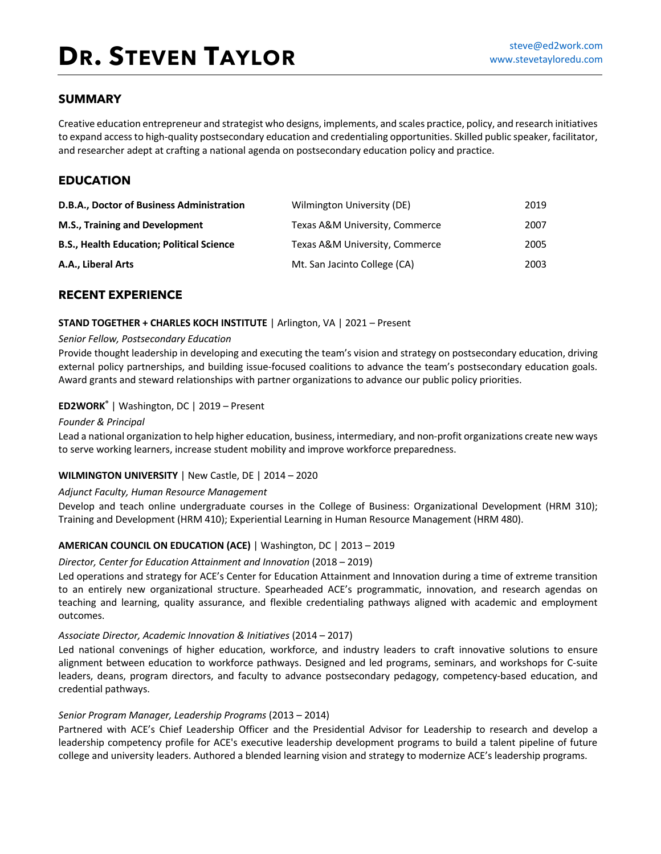### **SUMMARY**

Creative education entrepreneur and strategist who designs, implements, and scales practice, policy, and research initiatives to expand access to high-quality postsecondary education and credentialing opportunities. Skilled public speaker, facilitator, and researcher adept at crafting a national agenda on postsecondary education policy and practice.

### **EDUCATION**

| D.B.A., Doctor of Business Administration        | Wilmington University (DE)     | 2019 |
|--------------------------------------------------|--------------------------------|------|
| M.S., Training and Development                   | Texas A&M University, Commerce | 2007 |
| <b>B.S., Health Education; Political Science</b> | Texas A&M University, Commerce | 2005 |
| A.A., Liberal Arts                               | Mt. San Jacinto College (CA)   | 2003 |

### **RECENT EXPERIENCE**

#### **STAND TOGETHER + CHARLES KOCH INSTITUTE** | Arlington, VA | 2021 – Present

#### *Senior Fellow, Postsecondary Education*

Provide thought leadership in developing and executing the team's vision and strategy on postsecondary education, driving external policy partnerships, and building issue-focused coalitions to advance the team's postsecondary education goals. Award grants and steward relationships with partner organizations to advance our public policy priorities.

### **ED2WORK®** | Washington, DC | 2019 – Present

#### *Founder & Principal*

Lead a national organization to help higher education, business, intermediary, and non-profit organizations create new ways to serve working learners, increase student mobility and improve workforce preparedness.

### **WILMINGTON UNIVERSITY** | New Castle, DE | 2014 – 2020

#### *Adjunct Faculty, Human Resource Management*

Develop and teach online undergraduate courses in the College of Business: Organizational Development (HRM 310); Training and Development (HRM 410); Experiential Learning in Human Resource Management (HRM 480).

### **AMERICAN COUNCIL ON EDUCATION (ACE)** | Washington, DC | 2013 – 2019

#### *Director, Center for Education Attainment and Innovation* (2018 – 2019)

Led operations and strategy for ACE's Center for Education Attainment and Innovation during a time of extreme transition to an entirely new organizational structure. Spearheaded ACE's programmatic, innovation, and research agendas on teaching and learning, quality assurance, and flexible credentialing pathways aligned with academic and employment outcomes.

#### *Associate Director, Academic Innovation & Initiatives* (2014 – 2017)

Led national convenings of higher education, workforce, and industry leaders to craft innovative solutions to ensure alignment between education to workforce pathways. Designed and led programs, seminars, and workshops for C-suite leaders, deans, program directors, and faculty to advance postsecondary pedagogy, competency-based education, and credential pathways.

#### *Senior Program Manager, Leadership Programs* (2013 – 2014)

Partnered with ACE's Chief Leadership Officer and the Presidential Advisor for Leadership to research and develop a leadership competency profile for ACE's executive leadership development programs to build a talent pipeline of future college and university leaders. Authored a blended learning vision and strategy to modernize ACE's leadership programs.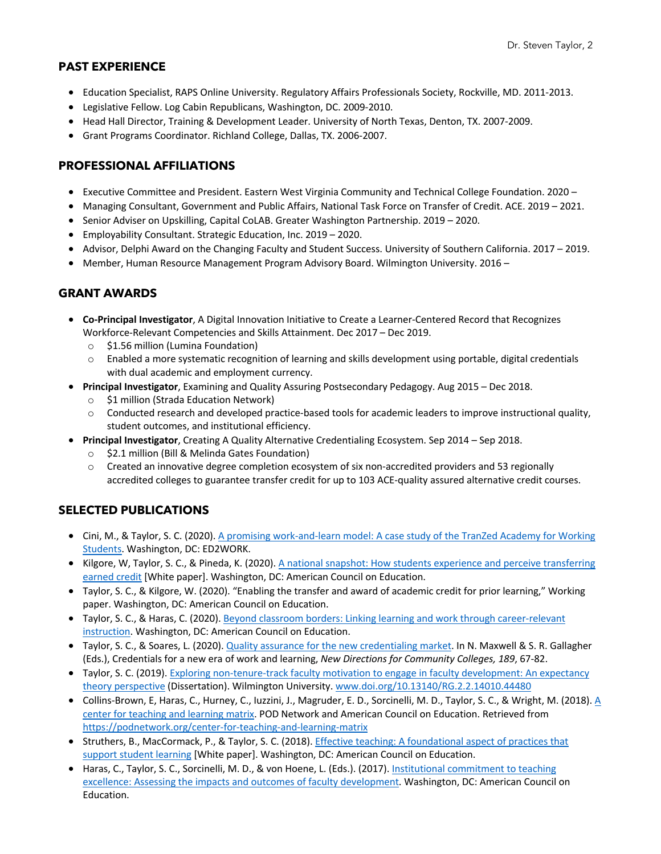## **PAST EXPERIENCE**

- Education Specialist, RAPS Online University. Regulatory Affairs Professionals Society, Rockville, MD. 2011-2013.
- Legislative Fellow. Log Cabin Republicans, Washington, DC. 2009-2010.
- Head Hall Director, Training & Development Leader. University of North Texas, Denton, TX. 2007-2009.
- Grant Programs Coordinator. Richland College, Dallas, TX. 2006-2007.

## **PROFESSIONAL AFFILIATIONS**

- Executive Committee and President. Eastern West Virginia Community and Technical College Foundation. 2020 –
- Managing Consultant, Government and Public Affairs, National Task Force on Transfer of Credit. ACE. 2019 2021.
- Senior Adviser on Upskilling, Capital CoLAB. Greater Washington Partnership. 2019 2020.
- Employability Consultant. Strategic Education, Inc. 2019 2020.
- Advisor, Delphi Award on the Changing Faculty and Student Success. University of Southern California. 2017 2019.
- Member, Human Resource Management Program Advisory Board. Wilmington University. 2016 –

## **GRANT AWARDS**

- **Co-Principal Investigator**, A Digital Innovation Initiative to Create a Learner-Centered Record that Recognizes Workforce-Relevant Competencies and Skills Attainment. Dec 2017 – Dec 2019.
	- o \$1.56 million (Lumina Foundation)
	- o Enabled a more systematic recognition of learning and skills development using portable, digital credentials with dual academic and employment currency.
- **Principal Investigator**, Examining and Quality Assuring Postsecondary Pedagogy. Aug 2015 Dec 2018.
	- o \$1 million (Strada Education Network)
	- $\circ$  Conducted research and developed practice-based tools for academic leaders to improve instructional quality, student outcomes, and institutional efficiency.
- **Principal Investigator**, Creating A Quality Alternative Credentialing Ecosystem. Sep 2014 Sep 2018.
	- o \$2.1 million (Bill & Melinda Gates Foundation)
	- $\circ$  Created an innovative degree completion ecosystem of six non-accredited providers and 53 regionally accredited colleges to guarantee transfer credit for up to 103 ACE-quality assured alternative credit courses.

# **SELECTED PUBLICATIONS**

- Cini, M., & Taylor, S. C. (2020). A promising work-and-learn model: A case study of the TranZed Academy for Working Students. Washington, DC: ED2WORK.
- Kilgore, W, Taylor, S. C., & Pineda, K. (2020). A national snapshot: How students experience and perceive transferring earned credit [White paper]. Washington, DC: American Council on Education.
- Taylor, S. C., & Kilgore, W. (2020). "Enabling the transfer and award of academic credit for prior learning," Working paper. Washington, DC: American Council on Education.
- Taylor, S. C., & Haras, C. (2020). Beyond classroom borders: Linking learning and work through career-relevant instruction. Washington, DC: American Council on Education.
- Taylor, S. C., & Soares, L. (2020). Quality assurance for the new credentialing market. In N. Maxwell & S. R. Gallagher (Eds.), Credentials for a new era of work and learning, *New Directions for Community Colleges, 189*, 67-82.
- Taylor, S. C. (2019). Exploring non-tenure-track faculty motivation to engage in faculty development: An expectancy theory perspective (Dissertation). Wilmington University. www.doi.org/10.13140/RG.2.2.14010.44480
- Collins-Brown, E, Haras, C., Hurney, C., Iuzzini, J., Magruder, E. D., Sorcinelli, M. D., Taylor, S. C., & Wright, M. (2018). A center for teaching and learning matrix. POD Network and American Council on Education. Retrieved from https://podnetwork.org/center-for-teaching-and-learning-matrix
- Struthers, B., MacCormack, P., & Taylor, S. C. (2018). Effective teaching: A foundational aspect of practices that support student learning [White paper]. Washington, DC: American Council on Education.
- Haras, C., Taylor, S. C., Sorcinelli, M. D., & von Hoene, L. (Eds.). (2017). Institutional commitment to teaching excellence: Assessing the impacts and outcomes of faculty development. Washington, DC: American Council on Education.